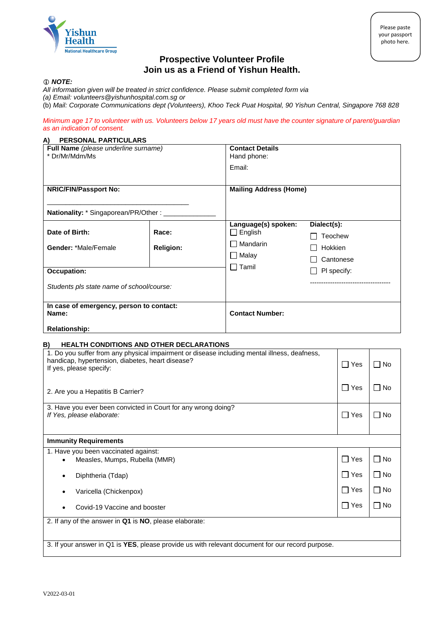

## **Prospective Volunteer Profile Join us as a Friend of Yishun Health.**

#### *NOTE:*

- *All information given will be treated in strict confidence. Please submit completed form via*
- *(a) Email: volunteers@yishunhospital.com.sg or*
- (b) *Mail: Corporate Communications dept (Volunteers), Khoo Teck Puat Hospital, 90 Yishun Central, Singapore 768 828*

*Minimum age 17 to volunteer with us. Volunteers below 17 years old must have the counter signature of parent/guardian as an indication of consent.*

#### **A) PERSONAL PARTICULARS**

| Full Name (please underline surname)<br>* Dr/Mr/Mdm/Ms                    |                           | <b>Contact Details</b><br>Hand phone:<br>Email:                                     |                                                                                 |  |
|---------------------------------------------------------------------------|---------------------------|-------------------------------------------------------------------------------------|---------------------------------------------------------------------------------|--|
| <b>NRIC/FIN/Passport No:</b>                                              |                           | <b>Mailing Address (Home)</b>                                                       |                                                                                 |  |
| <b>Nationality:</b> * Singaporean/PR/Other: ____                          |                           |                                                                                     |                                                                                 |  |
| Date of Birth:<br><b>Gender: *Male/Female</b><br><b>Occupation:</b>       | Race:<br><b>Religion:</b> | Language(s) spoken:<br>English<br>$\mathbf{I}$<br>Mandarin<br>Malay<br>$\Box$ Tamil | Dialect(s):<br>Teochew<br>Hokkien<br>Cantonese<br>PI specify:<br>$\blacksquare$ |  |
| Students pls state name of school/course:                                 |                           |                                                                                     |                                                                                 |  |
| In case of emergency, person to contact:<br>Name:<br><b>Relationship:</b> |                           | <b>Contact Number:</b>                                                              |                                                                                 |  |

# **B) HEALTH CONDITIONS AND OTHER DECLARATIONS** 1. Do you suffer from any physical impairment or disease including mental illness, deafness,

| handicap, hypertension, diabetes, heart disease?<br>If yes, please specify:                      | Yes<br>$\perp$ | No        |  |  |  |
|--------------------------------------------------------------------------------------------------|----------------|-----------|--|--|--|
| 2. Are you a Hepatitis B Carrier?                                                                | Yes<br>$\Box$  | ∣ ∣No     |  |  |  |
| 3. Have you ever been convicted in Court for any wrong doing?<br>If Yes, please elaborate:       | $\Box$ Yes     | $\Box$ No |  |  |  |
| <b>Immunity Requirements</b>                                                                     |                |           |  |  |  |
| 1. Have you been vaccinated against:<br>Measles, Mumps, Rubella (MMR)<br>$\bullet$               | $\Box$ Yes     | $\Box$ No |  |  |  |
| Diphtheria (Tdap)                                                                                | $\Box$ Yes     | ∐ No      |  |  |  |
| Varicella (Chickenpox)<br>٠                                                                      | $\Box$ Yes     | $\Box$ No |  |  |  |
| Covid-19 Vaccine and booster<br>$\bullet$                                                        | $\Box$ Yes     | □ No      |  |  |  |
| 2. If any of the answer in Q1 is NO, please elaborate:                                           |                |           |  |  |  |
| 3. If your answer in Q1 is YES, please provide us with relevant document for our record purpose. |                |           |  |  |  |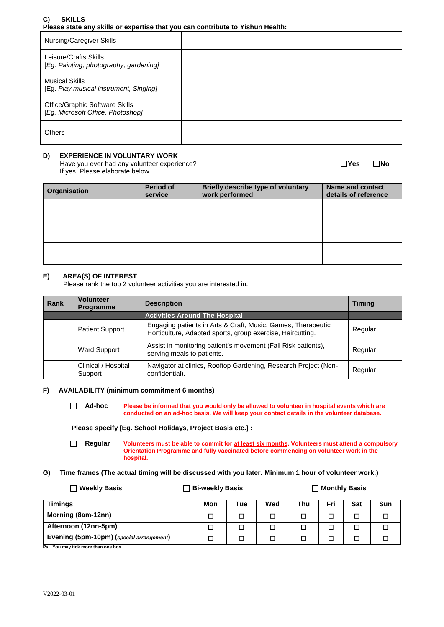## **C) SKILLS Please state any skills or expertise that you can contribute to Yishun Health:**

| Nursing/Caregiver Skills                                            |  |
|---------------------------------------------------------------------|--|
| Leisure/Crafts Skills<br>[Eg. Painting, photography, gardening]     |  |
| <b>Musical Skills</b><br>[Eg. Play musical instrument, Singing]     |  |
| Office/Graphic Software Skills<br>[Eg. Microsoft Office, Photoshop] |  |
| <b>Others</b>                                                       |  |

## **D) EXPERIENCE IN VOLUNTARY WORK**

Have you ever had any volunteer experience? **We are all assets that all any of the UNO Yes** No If yes, Please elaborate below.

| Organisation | <b>Period of</b><br>service | <b>Briefly describe type of voluntary</b><br>work performed | <b>Name and contact</b><br>details of reference |
|--------------|-----------------------------|-------------------------------------------------------------|-------------------------------------------------|
|              |                             |                                                             |                                                 |
|              |                             |                                                             |                                                 |
|              |                             |                                                             |                                                 |

## **E) AREA(S) OF INTEREST**

Please rank the top 2 volunteer activities you are interested in.

| <b>Rank</b> | <b>Volunteer</b><br><b>Programme</b> | <b>Description</b>                                                                                                         | <b>Timing</b> |
|-------------|--------------------------------------|----------------------------------------------------------------------------------------------------------------------------|---------------|
|             |                                      | <b>Activities Around The Hospital</b>                                                                                      |               |
|             | <b>Patient Support</b>               | Engaging patients in Arts & Craft, Music, Games, Therapeutic<br>Horticulture, Adapted sports, group exercise, Haircutting. | Regular       |
|             | <b>Ward Support</b>                  | Assist in monitoring patient's movement (Fall Risk patients),<br>serving meals to patients.                                | Regular       |
|             | Clinical / Hospital<br>Support       | Navigator at clinics, Rooftop Gardening, Research Project (Non-<br>confidential).                                          | Regular       |

#### **F) AVAILABILITY (minimum commitment 6 months)**

 **Ad-hoc Please be informed that you would only be allowed to volunteer in hospital events which are conducted on an ad-hoc basis. We will keep your contact details in the volunteer database.**

Please specify [Eg. School Holidays, Project Basis etc.] : \_

 **Regular Volunteers must be able to commit for at least six months. Volunteers must attend a compulsory Orientation Programme and fully vaccinated before commencing on volunteer work in the hospital.**

## **G) Time frames (The actual timing will be discussed with you later. Minimum 1 hour of volunteer work.)**

| <b>Weekly Basis</b>                      | <b>_ Bi-weekly Basis</b> |     | Monthly Basis |     |     |     |     |
|------------------------------------------|--------------------------|-----|---------------|-----|-----|-----|-----|
| Timings                                  | Mon                      | Tue | Wed           | Thu | Fri | Sat | Sun |
| Morning (8am-12nn)                       |                          | □   | П             | П   |     | п   |     |
| Afternoon (12nn-5pm)                     |                          |     |               |     |     |     |     |
| Evening (5pm-10pm) (special arrangement) |                          | □   |               |     |     |     |     |

**Ps: You may tick more than one box.**